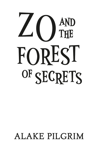# ZO FOREST OF SECRETS AND THE

### ALAKE PILGRIM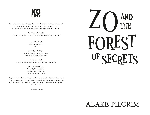

This is an uncorrected proof copy and not for resale. All specifications are provisional. It should not be quoted without comparison to the final revised text. It does not reflect the quality, page size or thickness of the finished edition.

Published by Knights Of Knights Of Ltd, Registered Offices: 119 Marylebone Road, London, NW1 5PU

> www.knightsof.media First published 2022 001

Written by Alake Pilgrim Text copyright © Alake Pilgrim, 2022 Cover art by © Tasia Graham, 2022

All rights reserved The moral right of the author and illustrator has been asserted

> Set in Ovo Regular / 12 pt Typeset by Marssaié Jordan Design by Marssaié Jordan Printed and bound in the UK

All rights reserved. No part of this publication may be reproduced or transmitted in any form or by any means, electronic or mechanical, including photocopying, recording, or any information storage or retrieval system, without prior permission in writing from the publishers.

ISBN: 9781913311292

## ZO FOREST **SECRETS** AND THE OF

### ALAKE PILGRIM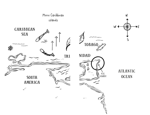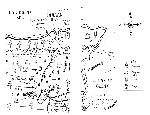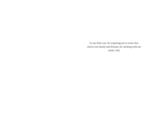To my little one, for inspiring me to write this. And to my family and friends, for sticking with me while I did.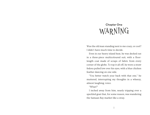#### Chapter One WARNING

Was the old man standing next to me crazy, or cool? I didn't have much time to decide.

Even in our heavy island heat, he was decked out in a three-piece multicoloured suit, with a floorlength coat made of scraps of fabric from every corner of the globe. To top it all off, he wore a straw fedora pulled low over his eyes, with a blue chicken feather dancing on one side.

"You better watch your back with that one," he muttered, interrupting my thoughts in a wheezy, almost laughing, voice.

#### "What?"

I inched away from him, nearly tripping over a speckled goat that, for some reason, was wandering the Samaan Bay market like a stray.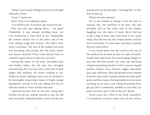"Maaa!" it protested, rolling its eyes at me through wild tufts of hair.

"Sorry," I muttered.

Great. Now I was talking to goats.

"You will be sorry, if you don't get away from her." Who was this guy talking about - the goat? Thankfully, it was already strolling away, not even bothering to look back at me. Meanwhile, the nearest vendor was at the other end of her stall, selling rough-skin lemons. She didn't have many customers. The rest of the market was loud and swarming with people, but this dusty corner was almost deserted. What crime did you have to commit to get stuck at a stall way out here?

Among the bones of old tents, shredded tarps and broken tables, the old man was strangely mesmerizing. He was lean, with a face full of dark angles and shadows. He wasn't looking at me. Maybe he wasn't talking to me at all. He seemed to be thoroughly inspecting a heap of bright orange mandarins, overripe in the sun, taking over the air with the smell of citrus and day-old roses.

I glanced around. Was no one else seeing this? Despite his get-up, nobody seemed to pay the old man any mind. I definitely didn't want to be the one

staring with my mouth open, "catching flies" as Ms. Kofi would say.

Where was she anyway?

Ms. K, the woman in charge of my life here in Samaan Bay, was nowhere to be seen. She was probably still on the other side of the market haggling over the price of yams. She'd told me to get a bag of limes and come back to her quick sharp. But this was my first Friday market, and the most excitement I'd seen since moving to Samaan Bay the week before.

It was barely dawn, but the crowd in the rest of the market was as thick as ants on a pile of sweets. People had come from the surrounding villages to buy and sell their goods. For once, the half-dead village was pulsing and alive. In the crescent-shaped market, calypso, soca, chutney, reggae, dancehall, jazz, pop, afrobeats, filmi and gospel music blasted from the open stalls. Vendors sheltered under pink, green and blue tarps, chatting loudly over the noise, catching up on news, and selling everything from gru gru bef to underwear, saltfish to yard fowl, car parts, coconuts and "Cold-in-the-ice!" drinks.

Sweat stuck my t-shirt to my back. Somehow, I'd wandered out here, away from all the action.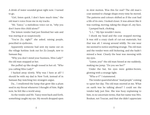A drink of water sounded great right now. I turned to go.

"Girl, listen quick, I don't have much time," the old man's voice froze me in my tracks.

"Mr. Yancy," a melodious voice cut in, "why you don't leave this child alone?"

The lemon vendor had just finished her sale and was staring at us suspiciously.

"You're Zo, right?" she asked, raising purple, pencilled-in eyebrows.

Apparently someone had sent my name out on the village hotline: look out for Zo Joseph, new to Samaan Bay.

"Why you don't mind your business, Miss Lady?" the old man snapped at her.

She puffed up like dough tossed in hot oil. "Who you calling Miss Lady?"

I backed away slowly. Why was I here at all? I should be with my dad in New York, instead of in Samaan Bay watching two strangers argue.

Da… I swallowed the lump that grew like a plum seed in my throat whenever I thought of him. Right now, he felt like a world away.

As the vendor and Mr. Yancy went back and forth, something caught my eye. My mouth dropped open

in slow motion. Was this for real? The old man's coat seemed to change shape every time he moved. The patterns and colours shifted as if the coat had a life of its own. I looked closer. It was almost like it was rustling, moving, taking the shape of…my face.

I jumped back, choking.

"L-l…" My lips wouldn't move.

I shook my head and the coat stopped moving. It was still a crazy clash of cut-out materials, but that was all. I swung around wildly. No one near me seemed to notice anything strange. The old man and the vendor were still bickering, and she hadn't missed a beat. Clearly the heat was messing with my eyes.

"Listen, you!" the old man hissed at me suddenly, making me jump. "Do you see her?"

Under the hat, his eyes were golden-brown, glowing with a strange light.

"Wha-a-t?" I stammered.

The vendor quarreled about "mad people" coming to upset her day. The old man snorted at me. What on earth was he talking about? I could see the vendor-lady just fine. She was busy explaining to him, in no uncertain terms, that her name was Mrs. Boukan, not Toucan, and that she didn't appreciate